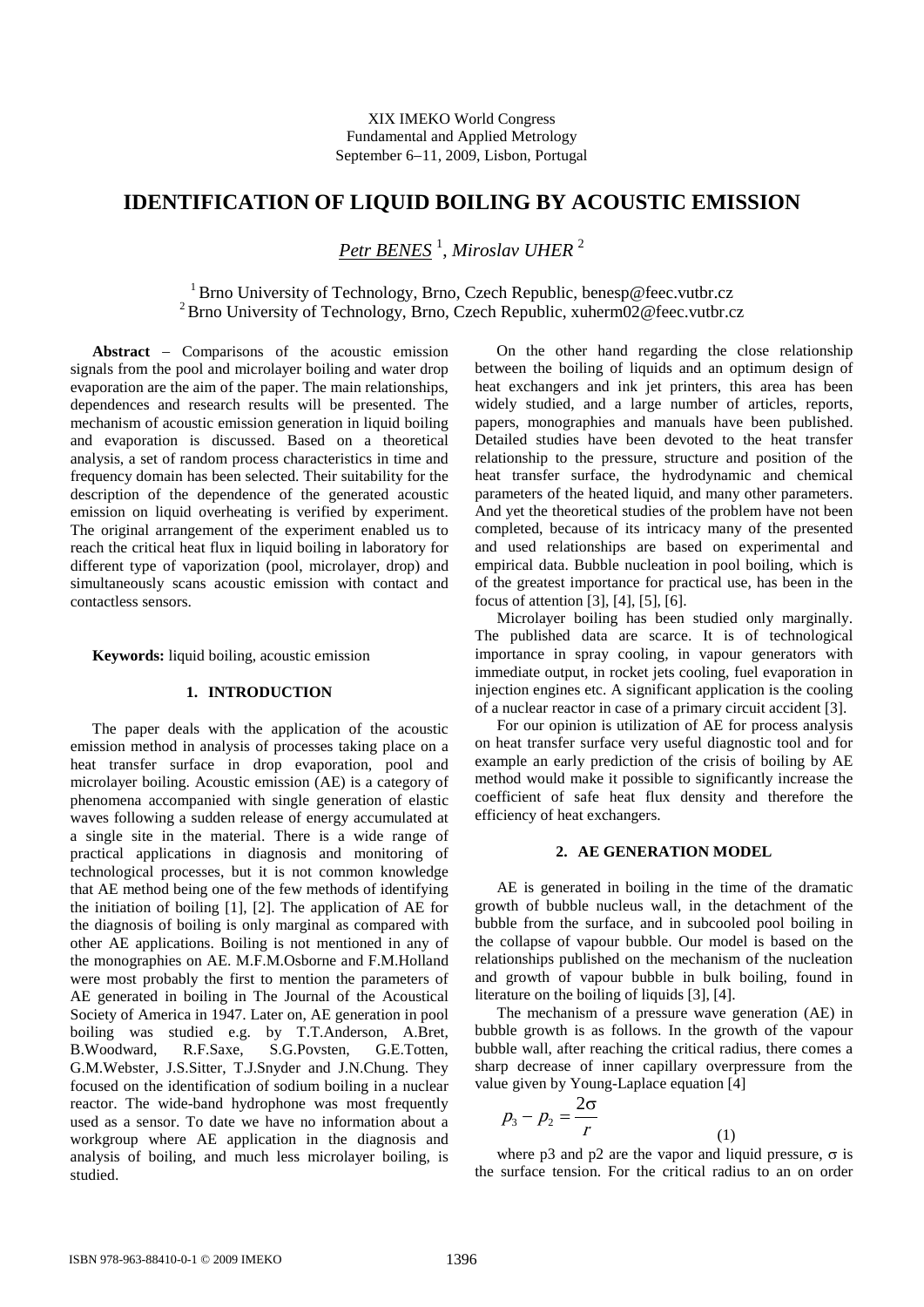# **IDENTIFICATION OF LIQUID BOILING BY ACOUSTIC EMISSION**

*Petr BENES* <sup>1</sup> , *Miroslav UHER* <sup>2</sup>

<sup>1</sup> Brno University of Technology, Brno, Czech Republic, benesp@feec.vutbr.cz <sup>2</sup> Brno University of Technology, Brno, Czech Republic, xuherm02@feec.vutbr.cz

**Abstract** − Comparisons of the acoustic emission signals from the pool and microlayer boiling and water drop evaporation are the aim of the paper. The main relationships, dependences and research results will be presented. The mechanism of acoustic emission generation in liquid boiling and evaporation is discussed. Based on a theoretical analysis, a set of random process characteristics in time and frequency domain has been selected. Their suitability for the description of the dependence of the generated acoustic emission on liquid overheating is verified by experiment. The original arrangement of the experiment enabled us to reach the critical heat flux in liquid boiling in laboratory for different type of vaporization (pool, microlayer, drop) and simultaneously scans acoustic emission with contact and contactless sensors.

**Keywords:** liquid boiling, acoustic emission

# **1. INTRODUCTION**

The paper deals with the application of the acoustic emission method in analysis of processes taking place on a heat transfer surface in drop evaporation, pool and microlayer boiling. Acoustic emission (AE) is a category of phenomena accompanied with single generation of elastic waves following a sudden release of energy accumulated at a single site in the material. There is a wide range of practical applications in diagnosis and monitoring of technological processes, but it is not common knowledge that AE method being one of the few methods of identifying the initiation of boiling [1], [2]. The application of AE for the diagnosis of boiling is only marginal as compared with other AE applications. Boiling is not mentioned in any of the monographies on AE. M.F.M.Osborne and F.M.Holland were most probably the first to mention the parameters of AE generated in boiling in The Journal of the Acoustical Society of America in 1947. Later on, AE generation in pool boiling was studied e.g. by T.T.Anderson, A.Bret, B.Woodward, R.F.Saxe, S.G.Povsten, G.E.Totten, G.M.Webster, J.S.Sitter, T.J.Snyder and J.N.Chung. They focused on the identification of sodium boiling in a nuclear reactor. The wide-band hydrophone was most frequently used as a sensor. To date we have no information about a workgroup where AE application in the diagnosis and analysis of boiling, and much less microlayer boiling, is studied.

On the other hand regarding the close relationship between the boiling of liquids and an optimum design of heat exchangers and ink jet printers, this area has been widely studied, and a large number of articles, reports, papers, monographies and manuals have been published. Detailed studies have been devoted to the heat transfer relationship to the pressure, structure and position of the heat transfer surface, the hydrodynamic and chemical parameters of the heated liquid, and many other parameters. And yet the theoretical studies of the problem have not been completed, because of its intricacy many of the presented and used relationships are based on experimental and empirical data. Bubble nucleation in pool boiling, which is of the greatest importance for practical use, has been in the focus of attention [3], [4], [5], [6].

Microlayer boiling has been studied only marginally. The published data are scarce. It is of technological importance in spray cooling, in vapour generators with immediate output, in rocket jets cooling, fuel evaporation in injection engines etc. A significant application is the cooling of a nuclear reactor in case of a primary circuit accident [3].

For our opinion is utilization of AE for process analysis on heat transfer surface very useful diagnostic tool and for example an early prediction of the crisis of boiling by AE method would make it possible to significantly increase the coefficient of safe heat flux density and therefore the efficiency of heat exchangers.

# **2. AE GENERATION MODEL**

AE is generated in boiling in the time of the dramatic growth of bubble nucleus wall, in the detachment of the bubble from the surface, and in subcooled pool boiling in the collapse of vapour bubble. Our model is based on the relationships published on the mechanism of the nucleation and growth of vapour bubble in bulk boiling, found in literature on the boiling of liquids [3], [4].

The mechanism of a pressure wave generation (AE) in bubble growth is as follows. In the growth of the vapour bubble wall, after reaching the critical radius, there comes a sharp decrease of inner capillary overpressure from the value given by Young-Laplace equation [4]

$$
p_3 - p_2 = \frac{2\sigma}{r} \tag{1}
$$

where p3 and p2 are the vapor and liquid pressure,  $\sigma$  is the surface tension. For the critical radius to an on order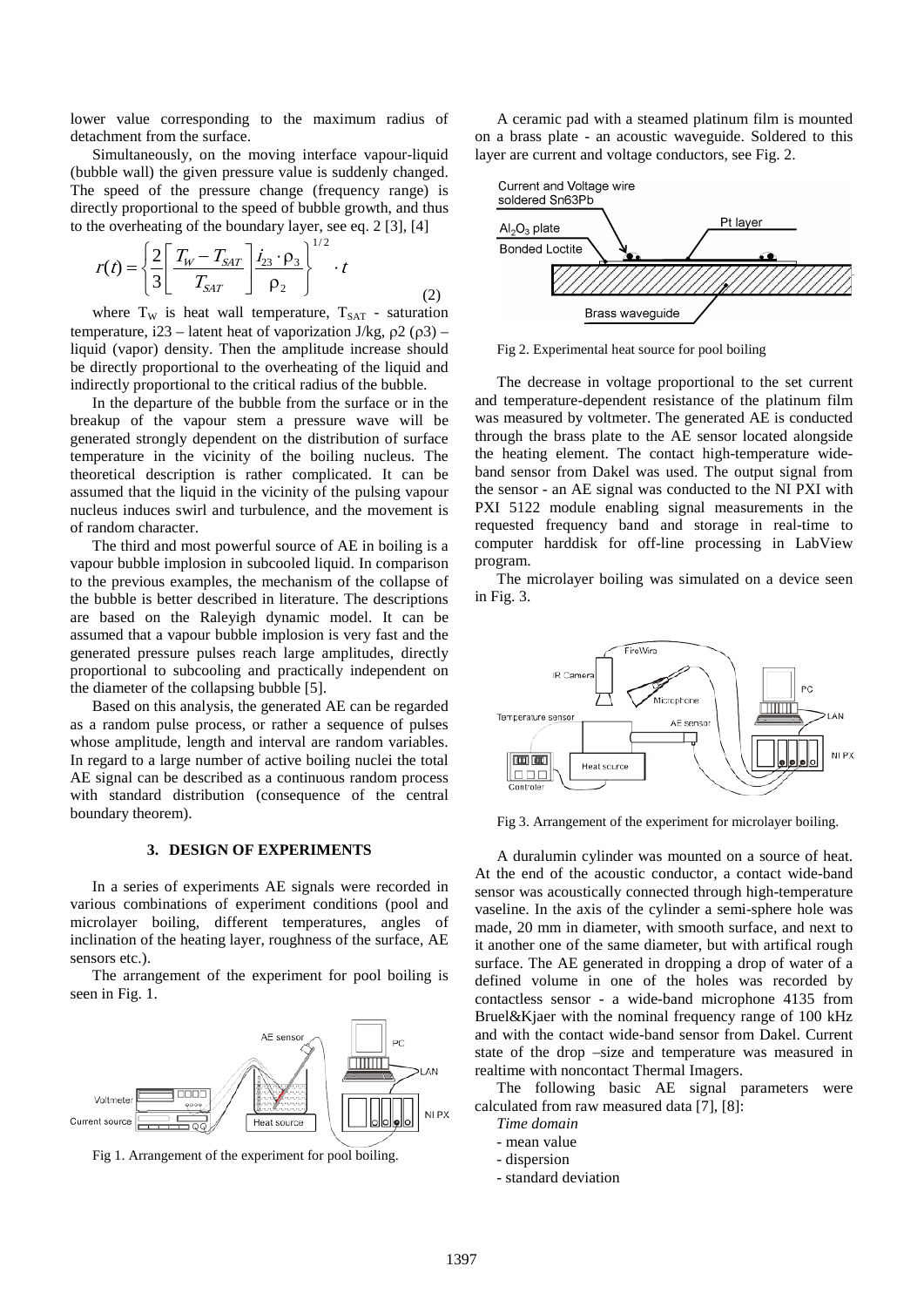lower value corresponding to the maximum radius of detachment from the surface.

Simultaneously, on the moving interface vapour-liquid (bubble wall) the given pressure value is suddenly changed. The speed of the pressure change (frequency range) is directly proportional to the speed of bubble growth, and thus to the overheating of the boundary layer, see eq. 2 [3], [4]

$$
r(t) = \left\{ \frac{2}{3} \left[ \frac{T_W - T_{SAT}}{T_{SAT}} \right] \frac{i_{23} \cdot \rho_3}{\rho_2} \right\}^{1/2} \cdot t
$$
 (2)

where  $T_W$  is heat wall temperature,  $T_{SAT}$  - saturation temperature, i23 – latent heat of vaporization J/kg,  $ρ2 (ρ3)$  – liquid (vapor) density. Then the amplitude increase should be directly proportional to the overheating of the liquid and indirectly proportional to the critical radius of the bubble.

In the departure of the bubble from the surface or in the breakup of the vapour stem a pressure wave will be generated strongly dependent on the distribution of surface temperature in the vicinity of the boiling nucleus. The theoretical description is rather complicated. It can be assumed that the liquid in the vicinity of the pulsing vapour nucleus induces swirl and turbulence, and the movement is of random character.

The third and most powerful source of AE in boiling is a vapour bubble implosion in subcooled liquid. In comparison to the previous examples, the mechanism of the collapse of the bubble is better described in literature. The descriptions are based on the Raleyigh dynamic model. It can be assumed that a vapour bubble implosion is very fast and the generated pressure pulses reach large amplitudes, directly proportional to subcooling and practically independent on the diameter of the collapsing bubble [5].

Based on this analysis, the generated AE can be regarded as a random pulse process, or rather a sequence of pulses whose amplitude, length and interval are random variables. In regard to a large number of active boiling nuclei the total AE signal can be described as a continuous random process with standard distribution (consequence of the central boundary theorem).

# **3. DESIGN OF EXPERIMENTS**

In a series of experiments AE signals were recorded in various combinations of experiment conditions (pool and microlayer boiling, different temperatures, angles of inclination of the heating layer, roughness of the surface, AE sensors etc.).

The arrangement of the experiment for pool boiling is seen in Fig. 1.



Fig 1. Arrangement of the experiment for pool boiling.

A ceramic pad with a steamed platinum film is mounted on a brass plate - an acoustic waveguide. Soldered to this layer are current and voltage conductors, see Fig. 2.



Fig 2. Experimental heat source for pool boiling

The decrease in voltage proportional to the set current and temperature-dependent resistance of the platinum film was measured by voltmeter. The generated AE is conducted through the brass plate to the AE sensor located alongside the heating element. The contact high-temperature wideband sensor from Dakel was used. The output signal from the sensor - an AE signal was conducted to the NI PXI with PXI 5122 module enabling signal measurements in the requested frequency band and storage in real-time to computer harddisk for off-line processing in LabView program.

The microlayer boiling was simulated on a device seen in Fig. 3.



Fig 3. Arrangement of the experiment for microlayer boiling.

A duralumin cylinder was mounted on a source of heat. At the end of the acoustic conductor, a contact wide-band sensor was acoustically connected through high-temperature vaseline. In the axis of the cylinder a semi-sphere hole was made, 20 mm in diameter, with smooth surface, and next to it another one of the same diameter, but with artifical rough surface. The AE generated in dropping a drop of water of a defined volume in one of the holes was recorded by contactless sensor - a wide-band microphone 4135 from Bruel&Kjaer with the nominal frequency range of 100 kHz and with the contact wide-band sensor from Dakel. Current state of the drop –size and temperature was measured in realtime with noncontact Thermal Imagers.

The following basic AE signal parameters were calculated from raw measured data [7], [8]:

*Time domain*

- mean value
- dispersion
- standard deviation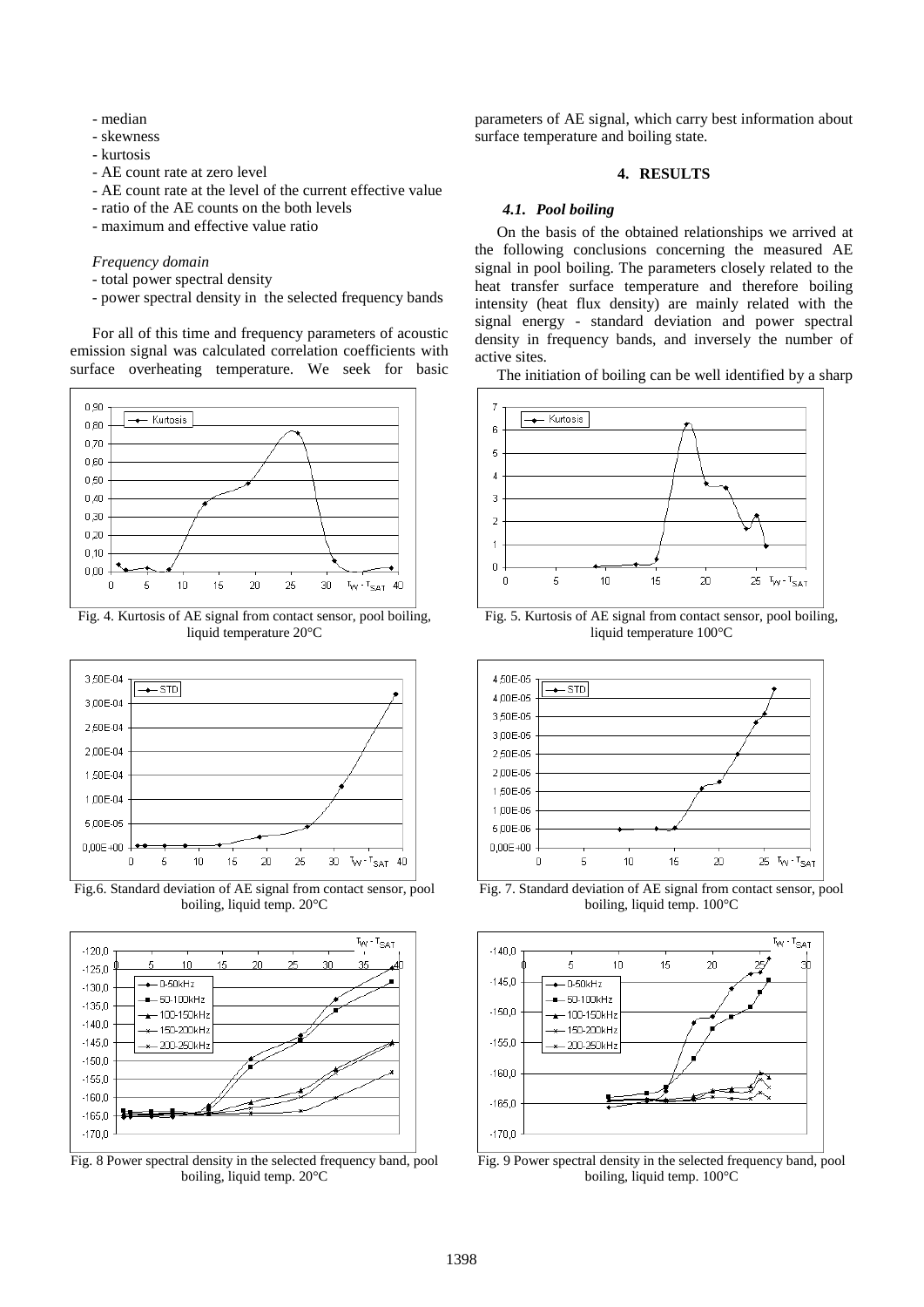- median
- skewness
- kurtosis
- AE count rate at zero level
- AE count rate at the level of the current effective value
- ratio of the AE counts on the both levels
- maximum and effective value ratio

# *Frequency domain*

- total power spectral density
- power spectral density in the selected frequency bands

For all of this time and frequency parameters of acoustic emission signal was calculated correlation coefficients with surface overheating temperature. We seek for basic



Fig. 4. Kurtosis of AE signal from contact sensor, pool boiling, liquid temperature 20°C



Fig.6. Standard deviation of AE signal from contact sensor, pool boiling, liquid temp. 20°C



Fig. 8 Power spectral density in the selected frequency band, pool boiling, liquid temp. 20°C

parameters of AE signal, which carry best information about surface temperature and boiling state.

#### **4. RESULTS**

#### *4.1. Pool boiling*

On the basis of the obtained relationships we arrived at the following conclusions concerning the measured AE signal in pool boiling. The parameters closely related to the heat transfer surface temperature and therefore boiling intensity (heat flux density) are mainly related with the signal energy - standard deviation and power spectral density in frequency bands, and inversely the number of active sites.

The initiation of boiling can be well identified by a sharp



Fig. 5. Kurtosis of AE signal from contact sensor, pool boiling, liquid temperature 100°C



Fig. 7. Standard deviation of AE signal from contact sensor, pool boiling, liquid temp. 100°C



Fig. 9 Power spectral density in the selected frequency band, pool boiling, liquid temp. 100°C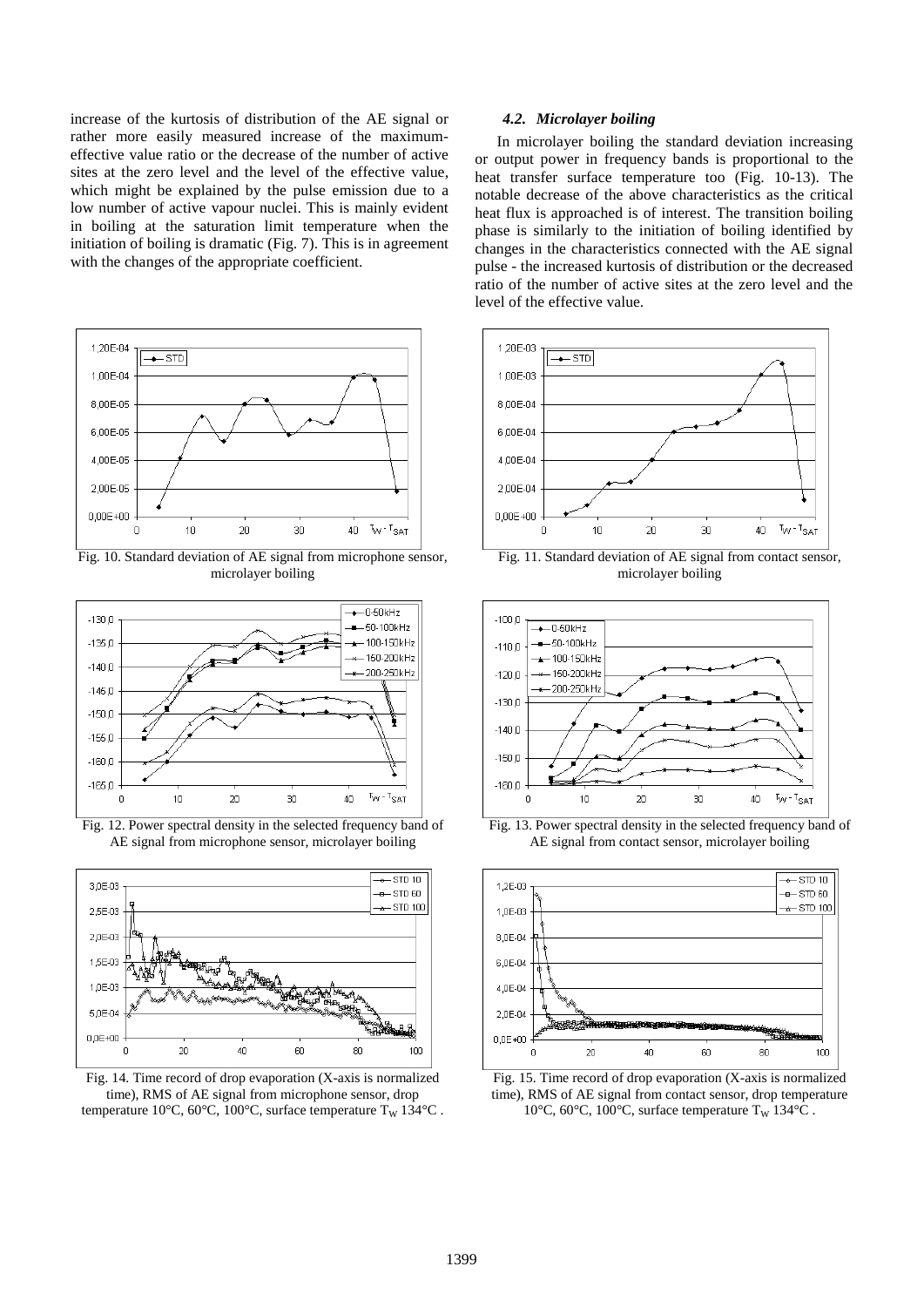increase of the kurtosis of distribution of the AE signal or rather more easily measured increase of the maximumeffective value ratio or the decrease of the number of active sites at the zero level and the level of the effective value, which might be explained by the pulse emission due to a low number of active vapour nuclei. This is mainly evident in boiling at the saturation limit temperature when the initiation of boiling is dramatic (Fig. 7). This is in agreement with the changes of the appropriate coefficient.



Fig. 10. Standard deviation of AE signal from microphone sensor, microlayer boiling



Fig. 12. Power spectral density in the selected frequency band of AE signal from microphone sensor, microlayer boiling



Fig. 14. Time record of drop evaporation (X-axis is normalized time), RMS of AE signal from microphone sensor, drop temperature 10°C, 60°C, 100°C, surface temperature T<sub>W</sub> 134°C.

## *4.2. Microlayer boiling*

In microlayer boiling the standard deviation increasing or output power in frequency bands is proportional to the heat transfer surface temperature too (Fig. 10-13). The notable decrease of the above characteristics as the critical heat flux is approached is of interest. The transition boiling phase is similarly to the initiation of boiling identified by changes in the characteristics connected with the AE signal pulse - the increased kurtosis of distribution or the decreased ratio of the number of active sites at the zero level and the level of the effective value.



Fig. 11. Standard deviation of AE signal from contact sensor, microlayer boiling



Fig. 13. Power spectral density in the selected frequency band of AE signal from contact sensor, microlayer boiling



Fig. 15. Time record of drop evaporation (X-axis is normalized time), RMS of AE signal from contact sensor, drop temperature 10°C, 60°C, 100°C, surface temperature T<sub>W</sub> 134°C .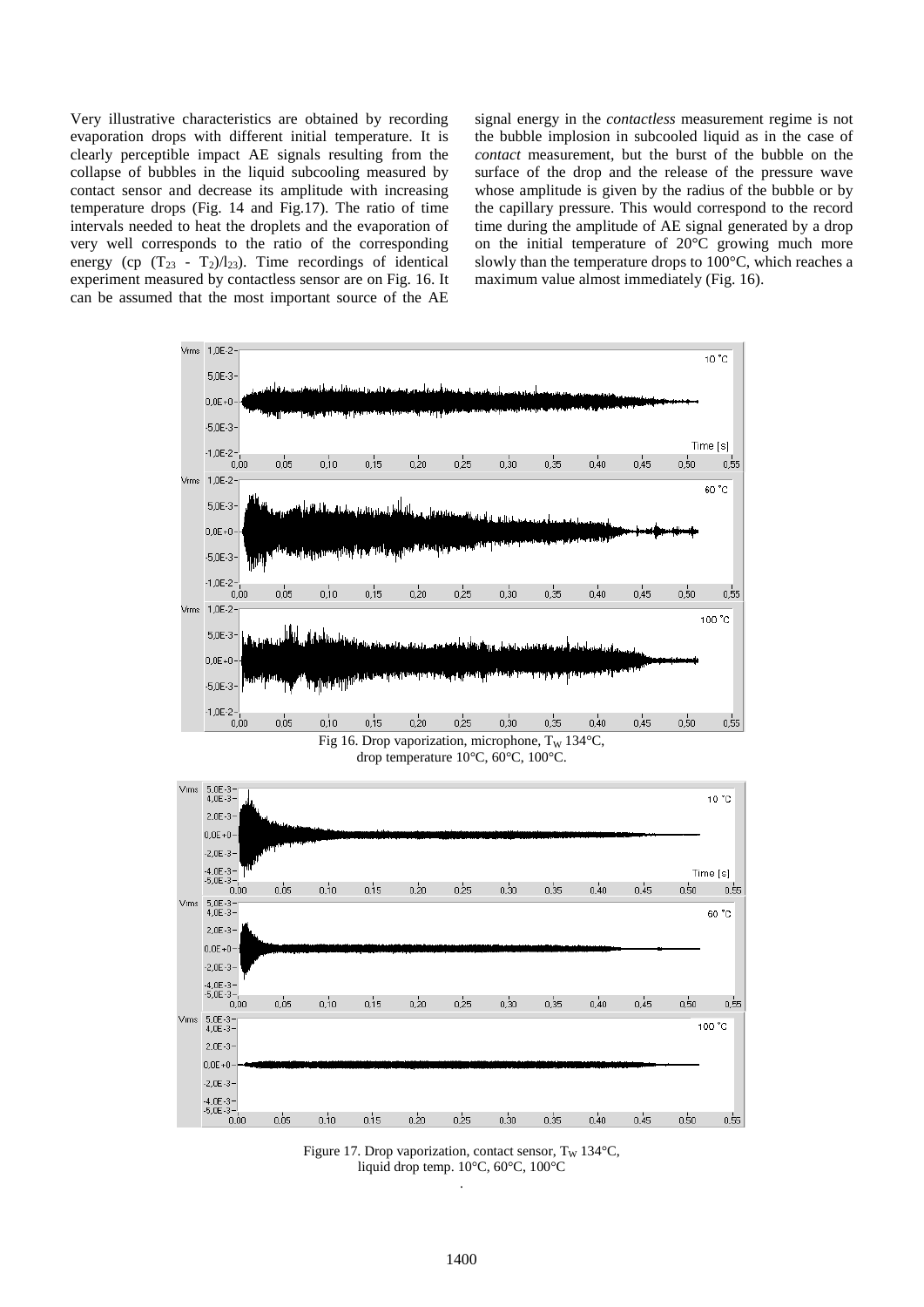Very illustrative characteristics are obtained by recording evaporation drops with different initial temperature. It is clearly perceptible impact AE signals resulting from the collapse of bubbles in the liquid subcooling measured by contact sensor and decrease its amplitude with increasing temperature drops (Fig. 14 and Fig.17). The ratio of time intervals needed to heat the droplets and the evaporation of very well corresponds to the ratio of the corresponding energy (cp  $(T_{23} - T_2)/T_{23}$ ). Time recordings of identical experiment measured by contactless sensor are on Fig. 16. It can be assumed that the most important source of the AE signal energy in the *contactless* measurement regime is not the bubble implosion in subcooled liquid as in the case of *contact* measurement, but the burst of the bubble on the surface of the drop and the release of the pressure wave whose amplitude is given by the radius of the bubble or by the capillary pressure. This would correspond to the record time during the amplitude of AE signal generated by a drop on the initial temperature of 20°C growing much more slowly than the temperature drops to 100°C, which reaches a maximum value almost immediately (Fig. 16).



Figure 17. Drop vaporization, contact sensor,  $T_w$  134 $°C$ , liquid drop temp. 10°C, 60°C, 100°C .